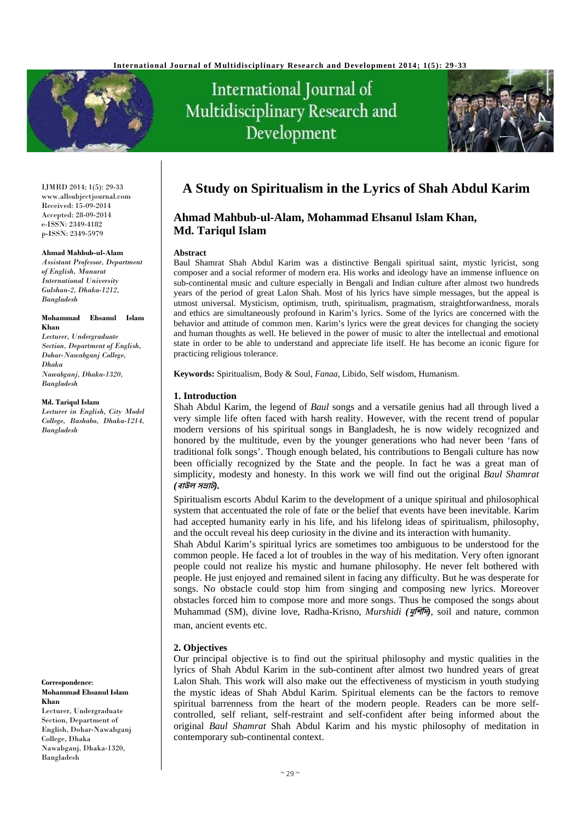

# International Journal of Multidisciplinary Research and Development



IJMRD 2014; 1(5): 29-33 www.allsubjectjournal.com Received: 15-09-2014 Accepted: 28-09-2014 e-ISSN: 2349-4182 p-ISSN: 2349-5979

#### **Ahmad Mahbub-ul-Alam**

*Assistant Professor, Department of English, Manarat International University Gulshan-2, Dhaka-1212, Bangladesh* 

#### **Mohammad Ehsanul Islam Khan**

*Lecturer, Undergraduate Section, Department of English, Dohar-Nawabganj College, Dhaka Nawabganj, Dhaka-1320, Bangladesh* 

#### **Md. Tariqul Islam**

*Lecturer in English, City Model College, Bashabo, Dhaka-1214, Bangladesh* 

**Correspondence**: **Mohammad Ehsanul Islam Khan** 

Lecturer, Undergraduate Section, Department of English, Dohar-Nawabganj College, Dhaka Nawabganj, Dhaka-1320, Bangladesh

# **A Study on Spiritualism in the Lyrics of Shah Abdul Karim**

# **Ahmad Mahbub-ul-Alam, Mohammad Ehsanul Islam Khan, Md. Tariqul Islam**

#### **Abstract**

Baul Shamrat Shah Abdul Karim was a distinctive Bengali spiritual saint, mystic lyricist, song composer and a social reformer of modern era. His works and ideology have an immense influence on sub-continental music and culture especially in Bengali and Indian culture after almost two hundreds years of the period of great Lalon Shah. Most of his lyrics have simple messages, but the appeal is utmost universal. Mysticism, optimism, truth, spiritualism, pragmatism, straightforwardness, morals and ethics are simultaneously profound in Karim's lyrics. Some of the lyrics are concerned with the behavior and attitude of common men. Karim's lyrics were the great devices for changing the society and human thoughts as well. He believed in the power of music to alter the intellectual and emotional state in order to be able to understand and appreciate life itself. He has become an iconic figure for practicing religious tolerance.

**Keywords:** Spiritualism, Body & Soul, *Fanaa*, Libido, Self wisdom, Humanism.

#### **1. Introduction**

Shah Abdul Karim, the legend of *Baul* songs and a versatile genius had all through lived a very simple life often faced with harsh reality. However, with the recent trend of popular modern versions of his spiritual songs in Bangladesh, he is now widely recognized and honored by the multitude, even by the younger generations who had never been 'fans of traditional folk songs'. Though enough belated, his contributions to Bengali culture has now been officially recognized by the State and the people. In fact he was a great man of simplicity, modesty and honesty. In this work we will find out the original *Baul Shamrat (***বাu<sup>ল</sup> <sup>স</sup>mাট***).* 

Spiritualism escorts Abdul Karim to the development of a unique spiritual and philosophical system that accentuated the role of fate or the belief that events have been inevitable. Karim had accepted humanity early in his life, and his lifelong ideas of spiritualism, philosophy, and the occult reveal his deep curiosity in the divine and its interaction with humanity.

Shah Abdul Karim's spiritual lyrics are sometimes too ambiguous to be understood for the common people. He faced a lot of troubles in the way of his meditation. Very often ignorant people could not realize his mystic and humane philosophy. He never felt bothered with people. He just enjoyed and remained silent in facing any difficulty. But he was desperate for songs. No obstacle could stop him from singing and composing new lyrics. Moreover obstacles forced him to compose more and more songs. Thus he composed the songs about Muhammad (SM), divine love, Radha-Krisno, *Murshidi (***মুিশর্িদ***)*, soil and nature, common man, ancient events etc.

## **2. Objectives**

Our principal objective is to find out the spiritual philosophy and mystic qualities in the lyrics of Shah Abdul Karim in the sub-continent after almost two hundred years of great Lalon Shah. This work will also make out the effectiveness of mysticism in youth studying the mystic ideas of Shah Abdul Karim. Spiritual elements can be the factors to remove spiritual barrenness from the heart of the modern people. Readers can be more selfcontrolled, self reliant, self-restraint and self-confident after being informed about the original *Baul Shamrat* Shah Abdul Karim and his mystic philosophy of meditation in contemporary sub-continental context.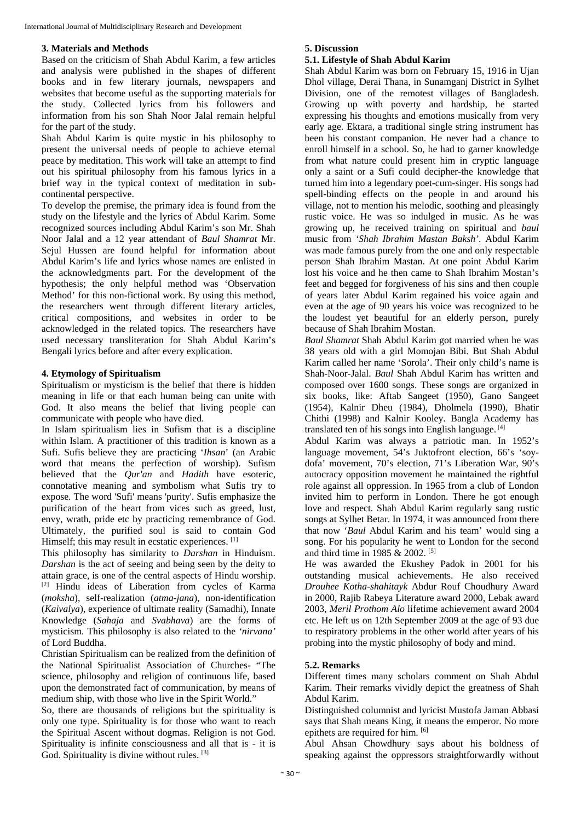# **3. Materials and Methods**

Based on the criticism of Shah Abdul Karim, a few articles and analysis were published in the shapes of different books and in few literary journals, newspapers and websites that become useful as the supporting materials for the study. Collected lyrics from his followers and information from his son Shah Noor Jalal remain helpful for the part of the study.

Shah Abdul Karim is quite mystic in his philosophy to present the universal needs of people to achieve eternal peace by meditation. This work will take an attempt to find out his spiritual philosophy from his famous lyrics in a brief way in the typical context of meditation in subcontinental perspective.

To develop the premise, the primary idea is found from the study on the lifestyle and the lyrics of Abdul Karim. Some recognized sources including Abdul Karim's son Mr. Shah Noor Jalal and a 12 year attendant of *Baul Shamrat* Mr. Sejul Hussen are found helpful for information about Abdul Karim's life and lyrics whose names are enlisted in the acknowledgments part. For the development of the hypothesis; the only helpful method was 'Observation Method' for this non-fictional work. By using this method, the researchers went through different literary articles, critical compositions, and websites in order to be acknowledged in the related topics. The researchers have used necessary transliteration for Shah Abdul Karim's Bengali lyrics before and after every explication.

## **4. Etymology of Spiritualism**

Spiritualism or mysticism is the belief that there is hidden meaning in life or that each human being can unite with God. It also means the belief that living people can communicate with people who have died.

In Islam spiritualism lies in Sufism that is a discipline within Islam. A practitioner of this tradition is known as a Sufi. Sufis believe they are practicing '*Ihsan*' (an Arabic word that means the perfection of worship). Sufism believed that the *Qur'an* and *Hadith* have esoteric, connotative meaning and symbolism what Sufis try to expose. The word 'Sufi' means 'purity'. Sufis emphasize the purification of the heart from vices such as greed, lust, envy, wrath, pride etc by practicing remembrance of God. Ultimately, the purified soul is said to contain God Himself; this may result in ecstatic experiences. [1]

This philosophy has similarity to *Darshan* in Hinduism. *Darshan* is the act of seeing and being seen by the deity to attain grace, is one of the central aspects of Hindu worship. [2] Hindu ideas of Liberation from cycles of Karma (*moksha*), self-realization (*atma-jana*), non-identification (*Kaivalya*), experience of ultimate reality (Samadhi), Innate Knowledge (*Sahaja* and *Svabhava*) are the forms of mysticism. This philosophy is also related to the *'nirvana'*  of Lord Buddha.

Christian Spiritualism can be realized from the definition of the National Spiritualist Association of Churches- "The science, philosophy and religion of continuous life, based upon the demonstrated fact of communication, by means of medium ship, with those who live in the Spirit World."

So, there are thousands of religions but the spirituality is only one type. Spirituality is for those who want to reach the Spiritual Ascent without dogmas. Religion is not God. Spirituality is infinite consciousness and all that is - it is God. Spirituality is divine without rules. [3]

#### **5. Discussion**

#### **5.1. Lifestyle of Shah Abdul Karim**

Shah Abdul Karim was born on February 15, 1916 in Ujan Dhol village, Derai Thana, in Sunamganj District in Sylhet Division, one of the remotest villages of Bangladesh. Growing up with poverty and hardship, he started expressing his thoughts and emotions musically from very early age. Ektara, a traditional single string instrument has been his constant companion. He never had a chance to enroll himself in a school. So, he had to garner knowledge from what nature could present him in cryptic language only a saint or a Sufi could decipher-the knowledge that turned him into a legendary poet-cum-singer. His songs had spell-binding effects on the people in and around his village, not to mention his melodic, soothing and pleasingly rustic voice. He was so indulged in music. As he was growing up, he received training on spiritual and *baul* music from *'Shah Ibrahim Mastan Baksh'*. Abdul Karim was made famous purely from the one and only respectable person Shah Ibrahim Mastan. At one point Abdul Karim lost his voice and he then came to Shah Ibrahim Mostan's feet and begged for forgiveness of his sins and then couple of years later Abdul Karim regained his voice again and even at the age of 90 years his voice was recognized to be the loudest yet beautiful for an elderly person, purely because of Shah Ibrahim Mostan.

*Baul Shamrat* Shah Abdul Karim got married when he was 38 years old with a girl Momojan Bibi. But Shah Abdul Karim called her name 'Sorola'. Their only child's name is Shah-Noor-Jalal. *Baul* Shah Abdul Karim has written and composed over 1600 songs. These songs are organized in six books, like: Aftab Sangeet (1950), Gano Sangeet (1954), Kalnir Dheu (1984), Dholmela (1990), Bhatir Chithi (1998) and Kalnir Kooley. Bangla Academy has translated ten of his songs into English language. [4]

Abdul Karim was always a patriotic man. In 1952's language movement, 54's Juktofront election, 66's 'soydofa' movement, 70's election, 71's Liberation War, 90's autocracy opposition movement he maintained the rightful role against all oppression. In 1965 from a club of London invited him to perform in London. There he got enough love and respect. Shah Abdul Karim regularly sang rustic songs at Sylhet Betar. In 1974, it was announced from there that now '*Baul* Abdul Karim and his team' would sing a song. For his popularity he went to London for the second and third time in 1985 & 2002. [5]

He was awarded the Ekushey Padok in 2001 for his outstanding musical achievements. He also received *Drouhee Kotha-shahitayk* Abdur Rouf Choudhury Award in 2000, Rajib Rabeya Literature award 2000, Lebak award 2003, *Meril Prothom Alo* lifetime achievement award 2004 etc. He left us on 12th September 2009 at the age of 93 due to respiratory problems in the other world after years of his probing into the mystic philosophy of body and mind.

## **5.2. Remarks**

Different times many scholars comment on Shah Abdul Karim. Their remarks vividly depict the greatness of Shah Abdul Karim.

Distinguished columnist and lyricist Mustofa Jaman Abbasi says that Shah means King, it means the emperor. No more epithets are required for him. [6]

Abul Ahsan Chowdhury says about his boldness of speaking against the oppressors straightforwardly without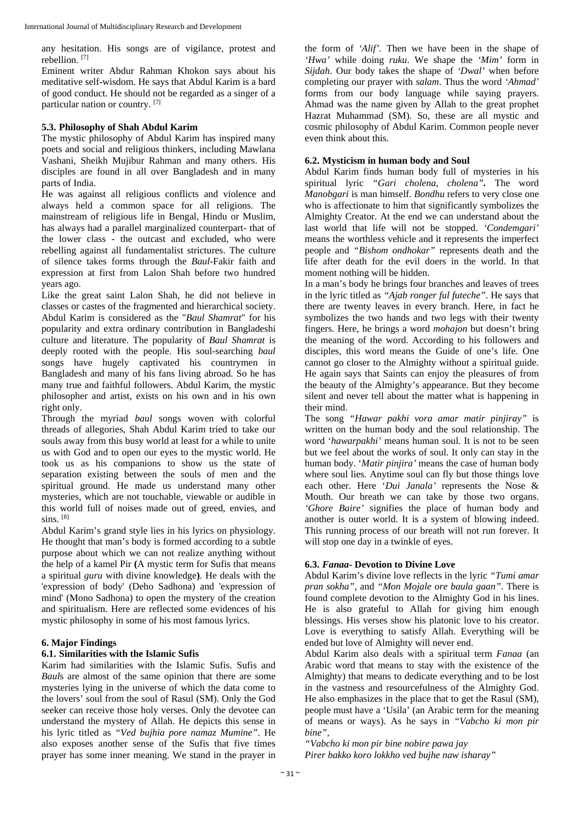any hesitation. His songs are of vigilance, protest and rebellion. [7]

Eminent writer Abdur Rahman Khokon says about his meditative self-wisdom. He says that Abdul Karim is a bard of good conduct. He should not be regarded as a singer of a particular nation or country. [7]

#### **5.3. Philosophy of Shah Abdul Karim**

The mystic philosophy of Abdul Karim has inspired many poets and social and religious thinkers, including Mawlana Vashani, Sheikh Mujibur Rahman and many others. His disciples are found in all over Bangladesh and in many parts of India.

He was against all religious conflicts and violence and always held a common space for all religions. The mainstream of religious life in Bengal, Hindu or Muslim, has always had a parallel marginalized counterpart- that of the lower class - the outcast and excluded, who were rebelling against all fundamentalist strictures. The culture of silence takes forms through the *Baul*-Fakir faith and expression at first from Lalon Shah before two hundred years ago.

Like the great saint Lalon Shah, he did not believe in classes or castes of the fragmented and hierarchical society. Abdul Karim is considered as the "*Baul Shamrat*" for his popularity and extra ordinary contribution in Bangladeshi culture and literature. The popularity of *Baul Shamrat* is deeply rooted with the people. His soul-searching *baul* songs have hugely captivated his countrymen in Bangladesh and many of his fans living abroad. So he has many true and faithful followers. Abdul Karim, the mystic philosopher and artist, exists on his own and in his own right only.

Through the myriad *baul* songs woven with colorful threads of allegories, Shah Abdul Karim tried to take our souls away from this busy world at least for a while to unite us with God and to open our eyes to the mystic world. He took us as his companions to show us the state of separation existing between the souls of men and the spiritual ground. He made us understand many other mysteries, which are not touchable, viewable or audible in this world full of noises made out of greed, envies, and sins.  $[8]$ 

Abdul Karim's grand style lies in his lyrics on physiology. He thought that man's body is formed according to a subtle purpose about which we can not realize anything without the help of a kamel Pir **(**A mystic term for Sufis that means a spiritual *guru* with divine knowledge**)**. He deals with the 'expression of body' (Deho Sadhona) and 'expression of mind' (Mono Sadhona) to open the mystery of the creation and spiritualism. Here are reflected some evidences of his mystic philosophy in some of his most famous lyrics.

#### **6. Major Findings**

#### **6.1. Similarities with the Islamic Sufis**

Karim had similarities with the Islamic Sufis. Sufis and *Baul*s are almost of the same opinion that there are some mysteries lying in the universe of which the data come to the lovers' soul from the soul of Rasul (SM). Only the God seeker can receive those holy verses. Only the devotee can understand the mystery of Allah. He depicts this sense in his lyric titled as *"Ved bujhia pore namaz Mumine"*. He also exposes another sense of the Sufis that five times prayer has some inner meaning. We stand in the prayer in

the form of *'Alif'*. Then we have been in the shape of *'Hwa'* while doing *ruku*. We shape the *'Mim'* form in *Sijdah*. Our body takes the shape of *'Dwal'* when before completing our prayer with *salam*. Thus the word *'Ahmad'* forms from our body language while saying prayers. Ahmad was the name given by Allah to the great prophet Hazrat Muhammad (SM). So, these are all mystic and cosmic philosophy of Abdul Karim. Common people never even think about this.

#### **6.2. Mysticism in human body and Soul**

Abdul Karim finds human body full of mysteries in his spiritual lyric *"Gari cholena, cholena".* The word *Manobgari* is man himself. *Bondhu* refers to very close one who is affectionate to him that significantly symbolizes the Almighty Creator. At the end we can understand about the last world that life will not be stopped. *'Condemgari'*  means the worthless vehicle and it represents the imperfect people and *"Bishom ondhokar"* represents death and the life after death for the evil doers in the world. In that moment nothing will be hidden.

In a man's body he brings four branches and leaves of trees in the lyric titled as *"Ajab ronger ful futeche"*. He says that there are twenty leaves in every branch. Here, in fact he symbolizes the two hands and two legs with their twenty fingers. Here, he brings a word *mohajon* but doesn't bring the meaning of the word. According to his followers and disciples, this word means the Guide of one's life. One cannot go closer to the Almighty without a spiritual guide. He again says that Saints can enjoy the pleasures of from the beauty of the Almighty's appearance. But they become silent and never tell about the matter what is happening in their mind.

The song *"Hawar pakhi vora amar matir pinjiray"* is written on the human body and the soul relationship. The word '*hawarpakhi'* means human soul. It is not to be seen but we feel about the works of soul. It only can stay in the human body. '*Matir pinjira'* means the case of human body where soul lies. Anytime soul can fly but those things love each other. Here '*Dui Janala'* represents the Nose & Mouth. Our breath we can take by those two organs. *'Ghore Baire'* signifies the place of human body and another is outer world. It is a system of blowing indeed. This running process of our breath will not run forever. It will stop one day in a twinkle of eyes.

## **6.3.** *Fanaa***- Devotion to Divine Love**

Abdul Karim's divine love reflects in the lyric *"Tumi amar pran sokha",* and *"Mon Mojale ore baula gaan"*. There is found complete devotion to the Almighty God in his lines. He is also grateful to Allah for giving him enough blessings. His verses show his platonic love to his creator. Love is everything to satisfy Allah. Everything will be ended but love of Almighty will never end.

Abdul Karim also deals with a spiritual term *Fanaa* (an Arabic word that means to stay with the existence of the Almighty) that means to dedicate everything and to be lost in the vastness and resourcefulness of the Almighty God. He also emphasizes in the place that to get the Rasul (SM), people must have a 'Usila' (an Arabic term for the meaning of means or ways). As he says in *"Vabcho ki mon pir bine",* 

*"Vabcho ki mon pir bine nobire pawa jay Pirer bakko koro lokkho ved bujhe naw isharay"*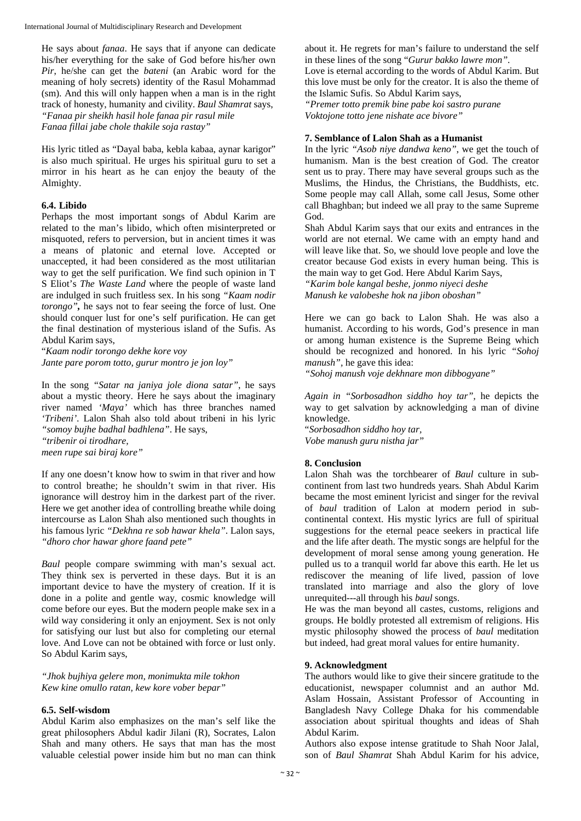He says about *fanaa*. He says that if anyone can dedicate his/her everything for the sake of God before his/her own *Pir*, he/she can get the *bateni* (an Arabic word for the meaning of holy secrets) identity of the Rasul Mohammad (sm). And this will only happen when a man is in the right track of honesty, humanity and civility. *Baul Shamrat* says, *"Fanaa pir sheikh hasil hole fanaa pir rasul mile Fanaa fillai jabe chole thakile soja rastay"* 

His lyric titled as "Dayal baba, kebla kabaa, aynar karigor" is also much spiritual. He urges his spiritual guru to set a mirror in his heart as he can enjoy the beauty of the Almighty.

#### **6.4. Libido**

Perhaps the most important songs of Abdul Karim are related to the man's libido, which often misinterpreted or misquoted, refers to perversion, but in ancient times it was a means of platonic and eternal love. Accepted or unaccepted, it had been considered as the most utilitarian way to get the self purification. We find such opinion in T S Eliot's *The Waste Land* where the people of waste land are indulged in such fruitless sex. In his song *"Kaam nodir torongo",* he says not to fear seeing the force of lust. One should conquer lust for one's self purification. He can get the final destination of mysterious island of the Sufis. As Abdul Karim says,

"*Kaam nodir torongo dekhe kore voy Jante pare porom totto, gurur montro je jon loy"*

In the song *"Satar na janiya jole diona satar"*, he says about a mystic theory. Here he says about the imaginary river named *'Maya'* which has three branches named *'Tribeni'*. Lalon Shah also told about tribeni in his lyric *"somoy bujhe badhal badhlena"*. He says, *"tribenir oi tirodhare,* 

*meen rupe sai biraj kore"* 

If any one doesn't know how to swim in that river and how to control breathe; he shouldn't swim in that river. His ignorance will destroy him in the darkest part of the river. Here we get another idea of controlling breathe while doing intercourse as Lalon Shah also mentioned such thoughts in his famous lyric *"Dekhna re sob hawar khela"*. Lalon says, *"dhoro chor hawar ghore faand pete"* 

*Baul* people compare swimming with man's sexual act. They think sex is perverted in these days. But it is an important device to have the mystery of creation. If it is done in a polite and gentle way, cosmic knowledge will come before our eyes. But the modern people make sex in a wild way considering it only an enjoyment. Sex is not only for satisfying our lust but also for completing our eternal love. And Love can not be obtained with force or lust only. So Abdul Karim says,

*"Jhok bujhiya gelere mon, monimukta mile tokhon Kew kine omullo ratan, kew kore vober bepar"* 

#### **6.5. Self-wisdom**

Abdul Karim also emphasizes on the man's self like the great philosophers Abdul kadir Jilani (R), Socrates, Lalon Shah and many others. He says that man has the most valuable celestial power inside him but no man can think

about it. He regrets for man's failure to understand the self in these lines of the song "*Gurur bakko lawre mon".* 

Love is eternal according to the words of Abdul Karim. But this love must be only for the creator. It is also the theme of the Islamic Sufis. So Abdul Karim says,

*"Premer totto premik bine pabe koi sastro purane Voktojone totto jene nishate ace bivore"* 

#### **7. Semblance of Lalon Shah as a Humanist**

In the lyric *"Asob niye dandwa keno"*, we get the touch of humanism. Man is the best creation of God. The creator sent us to pray. There may have several groups such as the Muslims, the Hindus, the Christians, the Buddhists, etc. Some people may call Allah, some call Jesus, Some other call Bhaghban; but indeed we all pray to the same Supreme God.

Shah Abdul Karim says that our exits and entrances in the world are not eternal. We came with an empty hand and will leave like that. So, we should love people and love the creator because God exists in every human being. This is the main way to get God. Here Abdul Karim Says,

*"Karim bole kangal beshe, jonmo niyeci deshe Manush ke valobeshe hok na jibon oboshan"* 

Here we can go back to Lalon Shah. He was also a humanist. According to his words, God's presence in man or among human existence is the Supreme Being which should be recognized and honored. In his lyric *"Sohoj manush",* he gave this idea:

*"Sohoj manush voje dekhnare mon dibbogyane"* 

*Again in "Sorbosadhon siddho hoy tar",* he depicts the way to get salvation by acknowledging a man of divine knowledge.

"*Sorbosadhon siddho hoy tar, Vobe manush guru nistha jar"* 

# **8. Conclusion**

Lalon Shah was the torchbearer of *Baul* culture in subcontinent from last two hundreds years. Shah Abdul Karim became the most eminent lyricist and singer for the revival of *baul* tradition of Lalon at modern period in subcontinental context. His mystic lyrics are full of spiritual suggestions for the eternal peace seekers in practical life and the life after death. The mystic songs are helpful for the development of moral sense among young generation. He pulled us to a tranquil world far above this earth. He let us rediscover the meaning of life lived, passion of love translated into marriage and also the glory of love unrequited---all through his *baul* songs.

He was the man beyond all castes, customs, religions and groups. He boldly protested all extremism of religions. His mystic philosophy showed the process of *baul* meditation but indeed, had great moral values for entire humanity.

#### **9. Acknowledgment**

The authors would like to give their sincere gratitude to the educationist, newspaper columnist and an author Md. Aslam Hossain, Assistant Professor of Accounting in Bangladesh Navy College Dhaka for his commendable association about spiritual thoughts and ideas of Shah Abdul Karim.

Authors also expose intense gratitude to Shah Noor Jalal, son of *Baul Shamrat* Shah Abdul Karim for his advice,